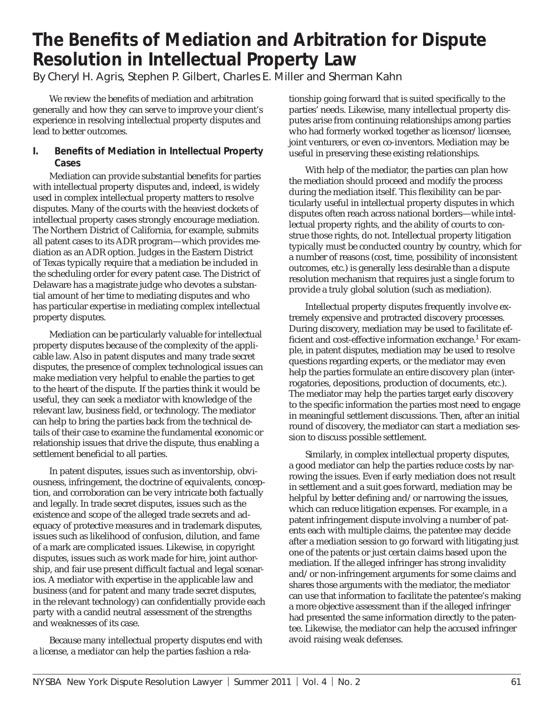# **The Benefits of Mediation and Arbitration for Dispute Resolution in Intellectual Property Law**

By Cheryl H. Agris, Stephen P. Gilbert, Charles E. Miller and Sherman Kahn

We review the benefits of mediation and arbitration generally and how they can serve to improve your client's experience in resolving intellectual property disputes and lead to better outcomes.

# **I.** Benefits of Mediation in Intellectual Property **Cases**

Mediation can provide substantial benefits for parties with intellectual property disputes and, indeed, is widely used in complex intellectual property matters to resolve disputes. Many of the courts with the heaviest dockets of intellectual property cases strongly encourage mediation. The Northern District of California, for example, submits all patent cases to its ADR program—which provides mediation as an ADR option. Judges in the Eastern District of Texas typically require that a mediation be included in the scheduling order for every patent case. The District of Delaware has a magistrate judge who devotes a substantial amount of her time to mediating disputes and who has particular expertise in mediating complex intellectual property disputes.

Mediation can be particularly valuable for intellectual property disputes because of the complexity of the applicable law. Also in patent disputes and many trade secret disputes, the presence of complex technological issues can make mediation very helpful to enable the parties to get to the heart of the dispute. If the parties think it would be useful, they can seek a mediator with knowledge of the relevant law, business field, or technology. The mediator can help to bring the parties back from the technical details of their case to examine the fundamental economic or relationship issues that drive the dispute, thus enabling a settlement beneficial to all parties.

In patent disputes, issues such as inventorship, obviousness, infringement, the doctrine of equivalents, conception, and corroboration can be very intricate both factually and legally. In trade secret disputes, issues such as the existence and scope of the alleged trade secrets and adequacy of protective measures and in trademark disputes, issues such as likelihood of confusion, dilution, and fame of a mark are complicated issues. Likewise, in copyright disputes, issues such as work made for hire, joint authorship, and fair use present difficult factual and legal scenarios. A mediator with expertise in the applicable law and business (and for patent and many trade secret disputes, in the relevant technology) can confidentially provide each party with a candid neutral assessment of the strengths and weaknesses of its case.

Because many intellectual property disputes end with a license, a mediator can help the parties fashion a relationship going forward that is suited specifically to the parties' needs. Likewise, many intellectual property disputes arise from continuing relationships among parties who had formerly worked together as licensor/licensee, joint venturers, or even co-inventors. Mediation may be useful in preserving these existing relationships.

With help of the mediator, the parties can plan how the mediation should proceed and modify the process during the mediation itself. This flexibility can be particularly useful in intellectual property disputes in which disputes often reach across national borders—while intellectual property rights, and the ability of courts to construe those rights, do not. Intellectual property litigation typically must be conducted country by country, which for a number of reasons (cost, time, possibility of inconsistent outcomes, etc.) is generally less desirable than a dispute resolution mechanism that requires just a single forum to provide a truly global solution (such as mediation).

Intellectual property disputes frequently involve extremely expensive and protracted discovery processes. During discovery, mediation may be used to facilitate efficient and cost-effective information exchange.<sup>1</sup> For example, in patent disputes, mediation may be used to resolve questions regarding experts, or the mediator may even help the parties formulate an entire discovery plan (interrogatories, depositions, production of documents, etc.). The mediator may help the parties target early discovery to the specific information the parties most need to engage in meaningful settlement discussions. Then, after an initial round of discovery, the mediator can start a mediation session to discuss possible settlement.

Similarly, in complex intellectual property disputes, a good mediator can help the parties reduce costs by narrowing the issues. Even if early mediation does not result in settlement and a suit goes forward, mediation may be helpful by better defining and/or narrowing the issues, which can reduce litigation expenses. For example, in a patent infringement dispute involving a number of patents each with multiple claims, the patentee may decide after a mediation session to go forward with litigating just one of the patents or just certain claims based upon the mediation. If the alleged infringer has strong invalidity and/or non-infringement arguments for some claims and shares those arguments with the mediator, the mediator can use that information to facilitate the patentee's making a more objective assessment than if the alleged infringer had presented the same information directly to the patentee. Likewise, the mediator can help the accused infringer avoid raising weak defenses.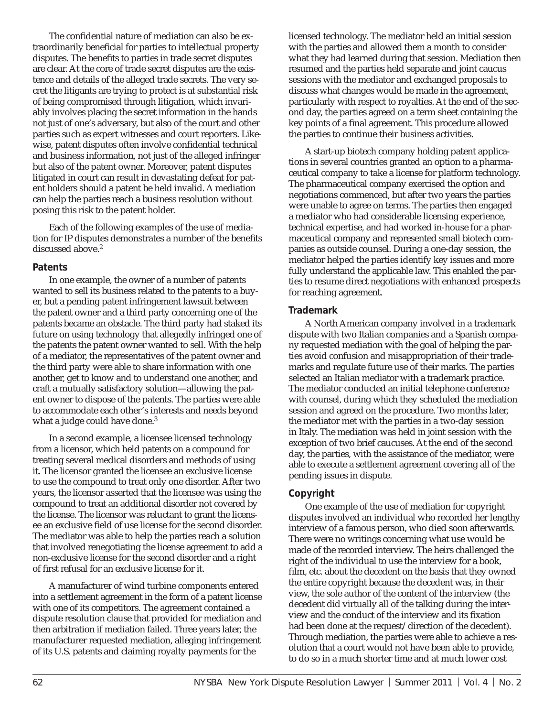The confidential nature of mediation can also be extraordinarily beneficial for parties to intellectual property disputes. The benefits to parties in trade secret disputes are clear. At the core of trade secret disputes are the existence and details of the alleged trade secrets. The very secret the litigants are trying to protect is at substantial risk of being compromised through litigation, which invariably involves placing the secret information in the hands not just of one's adversary, but also of the court and other parties such as expert witnesses and court reporters. Likewise, patent disputes often involve confidential technical and business information, not just of the alleged infringer but also of the patent owner. Moreover, patent disputes litigated in court can result in devastating defeat for patent holders should a patent be held invalid. A mediation can help the parties reach a business resolution without posing this risk to the patent holder.

Each of the following examples of the use of mediation for IP disputes demonstrates a number of the benefits discussed above.<sup>2</sup>

#### **Patents**

In one example, the owner of a number of patents wanted to sell its business related to the patents to a buyer, but a pending patent infringement lawsuit between the patent owner and a third party concerning one of the patents became an obstacle. The third party had staked its future on using technology that allegedly infringed one of the patents the patent owner wanted to sell. With the help of a mediator, the representatives of the patent owner and the third party were able to share information with one another, get to know and to understand one another, and craft a mutually satisfactory solution—allowing the patent owner to dispose of the patents. The parties were able to accommodate each other's interests and needs beyond what a judge could have done.<sup>3</sup>

In a second example, a licensee licensed technology from a licensor, which held patents on a compound for treating several medical disorders and methods of using it. The licensor granted the licensee an exclusive license to use the compound to treat only one disorder. After two years, the licensor asserted that the licensee was using the compound to treat an additional disorder not covered by the license. The licensor was reluctant to grant the licensee an exclusive field of use license for the second disorder. The mediator was able to help the parties reach a solution that involved renegotiating the license agreement to add a non-exclusive license for the second disorder and a right of first refusal for an exclusive license for it.

A manufacturer of wind turbine components entered into a settlement agreement in the form of a patent license with one of its competitors. The agreement contained a dispute resolution clause that provided for mediation and then arbitration if mediation failed. Three years later, the manufacturer requested mediation, alleging infringement of its U.S. patents and claiming royalty payments for the

licensed technology. The mediator held an initial session with the parties and allowed them a month to consider what they had learned during that session. Mediation then resumed and the parties held separate and joint caucus sessions with the mediator and exchanged proposals to discuss what changes would be made in the agreement, particularly with respect to royalties. At the end of the second day, the parties agreed on a term sheet containing the key points of a final agreement. This procedure allowed the parties to continue their business activities.

A start-up biotech company holding patent applications in several countries granted an option to a pharmaceutical company to take a license for platform technology. The pharmaceutical company exercised the option and negotiations commenced, but after two years the parties were unable to agree on terms. The parties then engaged a mediator who had considerable licensing experience, technical expertise, and had worked in-house for a pharmaceutical company and represented small biotech companies as outside counsel. During a one-day session, the mediator helped the parties identify key issues and more fully understand the applicable law. This enabled the parties to resume direct negotiations with enhanced prospects for reaching agreement.

# **Trademark**

A North American company involved in a trademark dispute with two Italian companies and a Spanish company requested mediation with the goal of helping the parties avoid confusion and misappropriation of their trademarks and regulate future use of their marks. The parties selected an Italian mediator with a trademark practice. The mediator conducted an initial telephone conference with counsel, during which they scheduled the mediation session and agreed on the procedure. Two months later, the mediator met with the parties in a two-day session in Italy. The mediation was held in joint session with the exception of two brief caucuses. At the end of the second day, the parties, with the assistance of the mediator, were able to execute a settlement agreement covering all of the pending issues in dispute.

## **Copyright**

One example of the use of mediation for copyright disputes involved an individual who recorded her lengthy interview of a famous person, who died soon afterwards. There were no writings concerning what use would be made of the recorded interview. The heirs challenged the right of the individual to use the interview for a book, film, etc. about the decedent on the basis that they owned the entire copyright because the decedent was, in their view, the sole author of the content of the interview (the decedent did virtually all of the talking during the interview and the conduct of the interview and its fixation had been done at the request/direction of the decedent). Through mediation, the parties were able to achieve a resolution that a court would not have been able to provide, to do so in a much shorter time and at much lower cost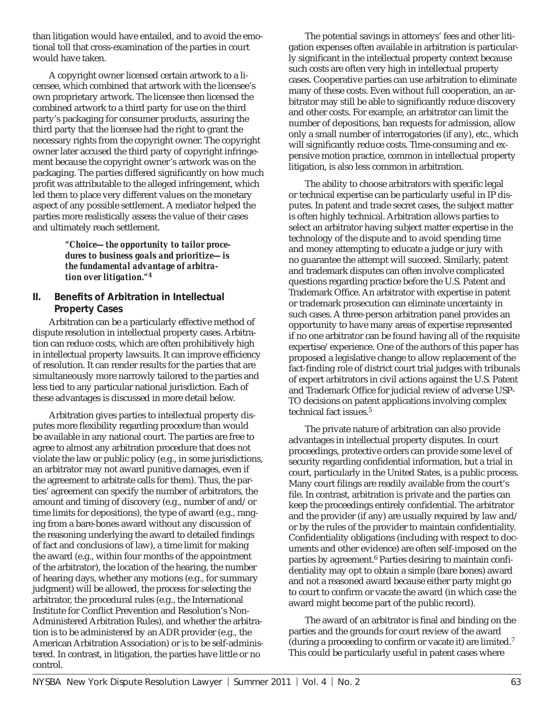than litigation would have entailed, and to avoid the emotional toll that cross-examination of the parties in court would have taken.

A copyright owner licensed certain artwork to a licensee, which combined that artwork with the licensee's own proprietary artwork. The licensee then licensed the combined artwork to a third party for use on the third party's packaging for consumer products, assuring the third party that the licensee had the right to grant the necessary rights from the copyright owner. The copyright owner later accused the third party of copyright infringement because the copyright owner's artwork was on the packaging. The parties differed significantly on how much profit was attributable to the alleged infringement, which led them to place very different values on the monetary aspect of any possible settlement. A mediator helped the parties more realistically assess the value of their cases and ultimately reach settlement.

> *"Choice—the opportunity to tailor procedures to business goals and prioritize—is the fundamental advantage of arbitration over litigation."***<sup>4</sup>**

# **II.** Benefits of Arbitration in Intellectual **Property Cases**

Arbitration can be a particularly effective method of dispute resolution in intellectual property cases. Arbitration can reduce costs, which are often prohibitively high in intellectual property lawsuits. It can improve efficiency of resolution. It can render results for the parties that are simultaneously more narrowly tailored to the parties and less tied to any particular national jurisdiction. Each of these advantages is discussed in more detail below.

Arbitration gives parties to intellectual property disputes more flexibility regarding procedure than would be available in any national court. The parties are free to agree to almost any arbitration procedure that does not violate the law or public policy (e.g., in some jurisdictions, an arbitrator may not award punitive damages, even if the agreement to arbitrate calls for them). Thus, the parties' agreement can specify the number of arbitrators, the amount and timing of discovery (e.g., number of and/or time limits for depositions), the type of award (e.g., ranging from a bare-bones award without any discussion of the reasoning underlying the award to detailed findings of fact and conclusions of law), a time limit for making the award (e.g., within four months of the appointment of the arbitrator), the location of the hearing, the number of hearing days, whether any motions (e.g., for summary judgment) will be allowed, the process for selecting the arbitrator, the procedural rules (e.g., the International Institute for Conflict Prevention and Resolution's Non-Administered Arbitration Rules), and whether the arbitration is to be administered by an ADR provider (e.g., the American Arbitration Association) or is to be self-administered. In contrast, in litigation, the parties have little or no control.

The potential savings in attorneys' fees and other litigation expenses often available in arbitration is particularly significant in the intellectual property context because such costs are often very high in intellectual property cases. Cooperative parties can use arbitration to eliminate many of these costs. Even without full cooperation, an arbitrator may still be able to significantly reduce discovery and other costs. For example, an arbitrator can limit the number of depositions, ban requests for admission, allow only a small number of interrogatories (if any), etc., which will significantly reduce costs. Time-consuming and expensive motion practice, common in intellectual property litigation, is also less common in arbitration.

The ability to choose arbitrators with specific legal or technical expertise can be particularly useful in IP disputes. In patent and trade secret cases, the subject matter is often highly technical. Arbitration allows parties to select an arbitrator having subject matter expertise in the technology of the dispute and to avoid spending time and money attempting to educate a judge or jury with no guarantee the attempt will succeed. Similarly, patent and trademark disputes can often involve complicated questions regarding practice before the U.S. Patent and Trademark Office. An arbitrator with expertise in patent or trademark prosecution can eliminate uncertainty in such cases. A three-person arbitration panel provides an opportunity to have many areas of expertise represented if no one arbitrator can be found having all of the requisite expertise/experience. One of the authors of this paper has proposed a legislative change to allow replacement of the fact-finding role of district court trial judges with tribunals of expert arbitrators in civil actions against the U.S. Patent and Trademark Office for judicial review of adverse USP-TO decisions on patent applications involving complex technical fact issues.<sup>5</sup>

The private nature of arbitration can also provide advantages in intellectual property disputes. In court proceedings, protective orders can provide some level of security regarding confidential information, but a trial in court, particularly in the United States, is a public process. Many court filings are readily available from the court's file. In contrast, arbitration is private and the parties can keep the proceedings entirely confidential. The arbitrator and the provider (if any) are usually required by law and/ or by the rules of the provider to maintain confidentiality. Confidentiality obligations (including with respect to documents and other evidence) are often self-imposed on the parties by agreement.<sup>6</sup> Parties desiring to maintain confidentiality may opt to obtain a simple (bare bones) award and not a reasoned award because either party might go to court to confirm or vacate the award (in which case the award might become part of the public record).

The award of an arbitrator is final and binding on the parties and the grounds for court review of the award (during a proceeding to confirm or vacate it) are limited. $7$ This could be particularly useful in patent cases where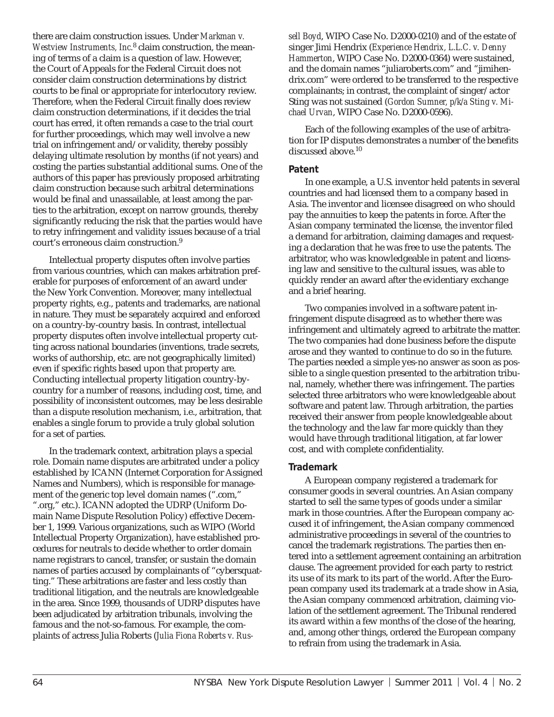there are claim construction issues. Under *Markman v. Westview Instruments, Inc.*8 claim construction, the meaning of terms of a claim is a question of law. However, the Court of Appeals for the Federal Circuit does not consider claim construction determinations by district courts to be final or appropriate for interlocutory review. Therefore, when the Federal Circuit finally does review claim construction determinations, if it decides the trial court has erred, it often remands a case to the trial court for further proceedings, which may well involve a new trial on infringement and/or validity, thereby possibly delaying ultimate resolution by months (if not years) and costing the parties substantial additional sums. One of the authors of this paper has previously proposed arbitrating claim construction because such arbitral determinations would be final and unassailable, at least among the parties to the arbitration, except on narrow grounds, thereby significantly reducing the risk that the parties would have to retry infringement and validity issues because of a trial court's erroneous claim construction.9

Intellectual property disputes often involve parties from various countries, which can makes arbitration preferable for purposes of enforcement of an award under the New York Convention. Moreover, many intellectual property rights, e.g., patents and trademarks, are national in nature. They must be separately acquired and enforced on a country-by-country basis. In contrast, intellectual property disputes often involve intellectual property cutting across national boundaries (inventions, trade secrets, works of authorship, etc. are not geographically limited) even if specific rights based upon that property are. Conducting intellectual property litigation country-bycountry for a number of reasons, including cost, time, and possibility of inconsistent outcomes, may be less desirable than a dispute resolution mechanism, i.e., arbitration, that enables a single forum to provide a truly global solution for a set of parties.

In the trademark context, arbitration plays a special role. Domain name disputes are arbitrated under a policy established by ICANN (Internet Corporation for Assigned Names and Numbers), which is responsible for management of the generic top level domain names (".com," ".org," etc.). ICANN adopted the UDRP (Uniform Domain Name Dispute Resolution Policy) effective December 1, 1999. Various organizations, such as WIPO (World Intellectual Property Organization), have established procedures for neutrals to decide whether to order domain name registrars to cancel, transfer, or sustain the domain names of parties accused by complainants of "cybersquatting." These arbitrations are faster and less costly than traditional litigation, and the neutrals are knowledgeable in the area. Since 1999, thousands of UDRP disputes have been adjudicated by arbitration tribunals, involving the famous and the not-so-famous. For example, the complaints of actress Julia Roberts (*Julia Fiona Roberts v. Rus-* *sell Boyd*, WIPO Case No. D2000-0210) and of the estate of singer Jimi Hendrix (*Experience Hendrix, L.L.C. v. Denny Hammerton*, WIPO Case No. D2000-0364) were sustained, and the domain names "juliaroberts.com" and "jimihendrix.com" were ordered to be transferred to the respective complainants; in contrast, the complaint of singer/actor Sting was not sustained (*Gordon Sumner, p/k/a Sting v. Michael Urvan*, WIPO Case No. D2000-0596).

Each of the following examples of the use of arbitration for IP disputes demonstrates a number of the benefits discussed above.<sup>10</sup>

#### **Patent**

In one example, a U.S. inventor held patents in several countries and had licensed them to a company based in Asia. The inventor and licensee disagreed on who should pay the annuities to keep the patents in force. After the Asian company terminated the license, the inventor filed a demand for arbitration, claiming damages and requesting a declaration that he was free to use the patents. The arbitrator, who was knowledgeable in patent and licensing law and sensitive to the cultural issues, was able to quickly render an award after the evidentiary exchange and a brief hearing.

Two companies involved in a software patent infringement dispute disagreed as to whether there was infringement and ultimately agreed to arbitrate the matter. The two companies had done business before the dispute arose and they wanted to continue to do so in the future. The parties needed a simple yes-no answer as soon as possible to a single question presented to the arbitration tribunal, namely, whether there was infringement. The parties selected three arbitrators who were knowledgeable about software and patent law. Through arbitration, the parties received their answer from people knowledgeable about the technology and the law far more quickly than they would have through traditional litigation, at far lower cost, and with complete confidentiality.

## **Trademark**

A European company registered a trademark for consumer goods in several countries. An Asian company started to sell the same types of goods under a similar mark in those countries. After the European company accused it of infringement, the Asian company commenced administrative proceedings in several of the countries to cancel the trademark registrations. The parties then entered into a settlement agreement containing an arbitration clause. The agreement provided for each party to restrict its use of its mark to its part of the world. After the European company used its trademark at a trade show in Asia, the Asian company commenced arbitration, claiming violation of the settlement agreement. The Tribunal rendered its award within a few months of the close of the hearing, and, among other things, ordered the European company to refrain from using the trademark in Asia.